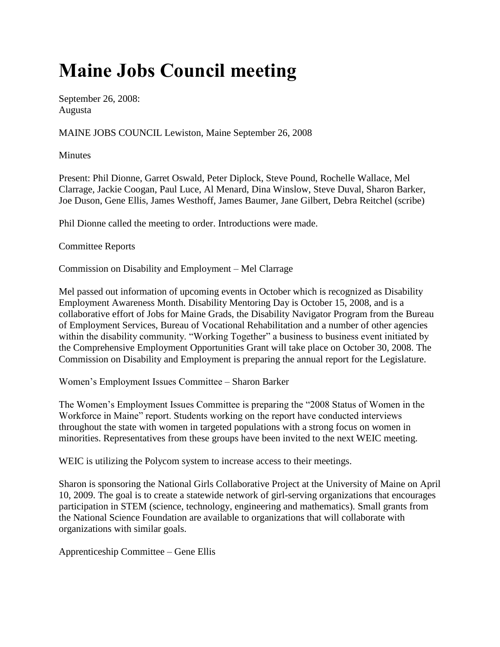## **Maine Jobs Council meeting**

September 26, 2008: Augusta

MAINE JOBS COUNCIL Lewiston, Maine September 26, 2008

**Minutes** 

Present: Phil Dionne, Garret Oswald, Peter Diplock, Steve Pound, Rochelle Wallace, Mel Clarrage, Jackie Coogan, Paul Luce, Al Menard, Dina Winslow, Steve Duval, Sharon Barker, Joe Duson, Gene Ellis, James Westhoff, James Baumer, Jane Gilbert, Debra Reitchel (scribe)

Phil Dionne called the meeting to order. Introductions were made.

Committee Reports

Commission on Disability and Employment – Mel Clarrage

Mel passed out information of upcoming events in October which is recognized as Disability Employment Awareness Month. Disability Mentoring Day is October 15, 2008, and is a collaborative effort of Jobs for Maine Grads, the Disability Navigator Program from the Bureau of Employment Services, Bureau of Vocational Rehabilitation and a number of other agencies within the disability community. "Working Together" a business to business event initiated by the Comprehensive Employment Opportunities Grant will take place on October 30, 2008. The Commission on Disability and Employment is preparing the annual report for the Legislature.

Women's Employment Issues Committee – Sharon Barker

The Women's Employment Issues Committee is preparing the "2008 Status of Women in the Workforce in Maine" report. Students working on the report have conducted interviews throughout the state with women in targeted populations with a strong focus on women in minorities. Representatives from these groups have been invited to the next WEIC meeting.

WEIC is utilizing the Polycom system to increase access to their meetings.

Sharon is sponsoring the National Girls Collaborative Project at the University of Maine on April 10, 2009. The goal is to create a statewide network of girl-serving organizations that encourages participation in STEM (science, technology, engineering and mathematics). Small grants from the National Science Foundation are available to organizations that will collaborate with organizations with similar goals.

Apprenticeship Committee – Gene Ellis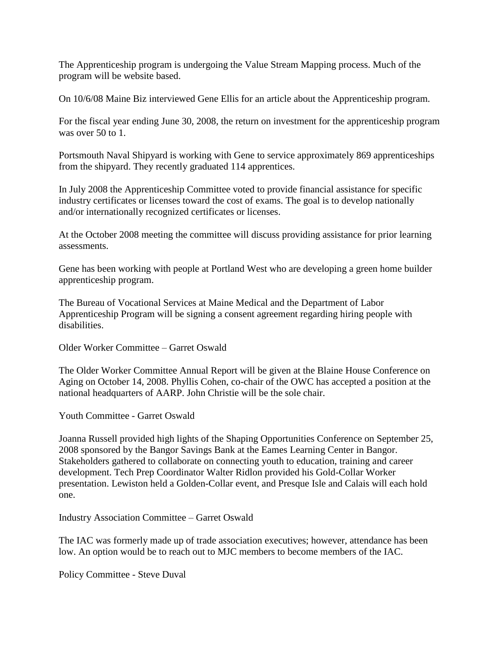The Apprenticeship program is undergoing the Value Stream Mapping process. Much of the program will be website based.

On 10/6/08 Maine Biz interviewed Gene Ellis for an article about the Apprenticeship program.

For the fiscal year ending June 30, 2008, the return on investment for the apprenticeship program was over 50 to 1.

Portsmouth Naval Shipyard is working with Gene to service approximately 869 apprenticeships from the shipyard. They recently graduated 114 apprentices.

In July 2008 the Apprenticeship Committee voted to provide financial assistance for specific industry certificates or licenses toward the cost of exams. The goal is to develop nationally and/or internationally recognized certificates or licenses.

At the October 2008 meeting the committee will discuss providing assistance for prior learning assessments.

Gene has been working with people at Portland West who are developing a green home builder apprenticeship program.

The Bureau of Vocational Services at Maine Medical and the Department of Labor Apprenticeship Program will be signing a consent agreement regarding hiring people with disabilities.

Older Worker Committee – Garret Oswald

The Older Worker Committee Annual Report will be given at the Blaine House Conference on Aging on October 14, 2008. Phyllis Cohen, co-chair of the OWC has accepted a position at the national headquarters of AARP. John Christie will be the sole chair.

Youth Committee - Garret Oswald

Joanna Russell provided high lights of the Shaping Opportunities Conference on September 25, 2008 sponsored by the Bangor Savings Bank at the Eames Learning Center in Bangor. Stakeholders gathered to collaborate on connecting youth to education, training and career development. Tech Prep Coordinator Walter Ridlon provided his Gold-Collar Worker presentation. Lewiston held a Golden-Collar event, and Presque Isle and Calais will each hold one.

Industry Association Committee – Garret Oswald

The IAC was formerly made up of trade association executives; however, attendance has been low. An option would be to reach out to MJC members to become members of the IAC.

Policy Committee - Steve Duval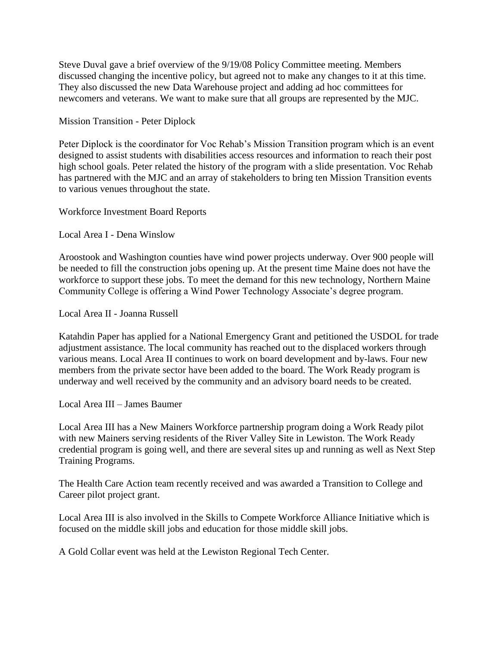Steve Duval gave a brief overview of the 9/19/08 Policy Committee meeting. Members discussed changing the incentive policy, but agreed not to make any changes to it at this time. They also discussed the new Data Warehouse project and adding ad hoc committees for newcomers and veterans. We want to make sure that all groups are represented by the MJC.

Mission Transition - Peter Diplock

Peter Diplock is the coordinator for Voc Rehab's Mission Transition program which is an event designed to assist students with disabilities access resources and information to reach their post high school goals. Peter related the history of the program with a slide presentation. Voc Rehab has partnered with the MJC and an array of stakeholders to bring ten Mission Transition events to various venues throughout the state.

Workforce Investment Board Reports

Local Area I - Dena Winslow

Aroostook and Washington counties have wind power projects underway. Over 900 people will be needed to fill the construction jobs opening up. At the present time Maine does not have the workforce to support these jobs. To meet the demand for this new technology, Northern Maine Community College is offering a Wind Power Technology Associate's degree program.

Local Area II - Joanna Russell

Katahdin Paper has applied for a National Emergency Grant and petitioned the USDOL for trade adjustment assistance. The local community has reached out to the displaced workers through various means. Local Area II continues to work on board development and by-laws. Four new members from the private sector have been added to the board. The Work Ready program is underway and well received by the community and an advisory board needs to be created.

Local Area III – James Baumer

Local Area III has a New Mainers Workforce partnership program doing a Work Ready pilot with new Mainers serving residents of the River Valley Site in Lewiston. The Work Ready credential program is going well, and there are several sites up and running as well as Next Step Training Programs.

The Health Care Action team recently received and was awarded a Transition to College and Career pilot project grant.

Local Area III is also involved in the Skills to Compete Workforce Alliance Initiative which is focused on the middle skill jobs and education for those middle skill jobs.

A Gold Collar event was held at the Lewiston Regional Tech Center.